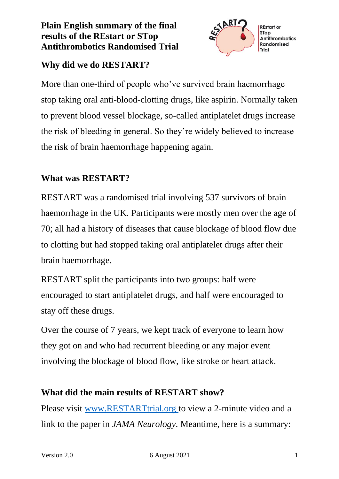### **Plain English summary of the final results of the REstart or STop Antithrombotics Randomised Trial**



# **Why did we do RESTART?**

More than one-third of people who've survived brain haemorrhage stop taking oral anti-blood-clotting drugs, like aspirin. Normally taken to prevent blood vessel blockage, so-called antiplatelet drugs increase the risk of bleeding in general. So they're widely believed to increase the risk of brain haemorrhage happening again.

## **What was RESTART?**

RESTART was a randomised trial involving 537 survivors of brain haemorrhage in the UK. Participants were mostly men over the age of 70; all had a history of diseases that cause blockage of blood flow due to clotting but had stopped taking oral antiplatelet drugs after their brain haemorrhage.

RESTART split the participants into two groups: half were encouraged to start antiplatelet drugs, and half were encouraged to stay off these drugs.

Over the course of 7 years, we kept track of everyone to learn how they got on and who had recurrent bleeding or any major event involving the blockage of blood flow, like stroke or heart attack.

### **What did the main results of RESTART show?**

Please visit [www.RESTARTtrial.org](http://www.restarttrial.org/) to view a 2-minute video and a link to the paper in *JAMA Neurology*. Meantime, here is a summary: